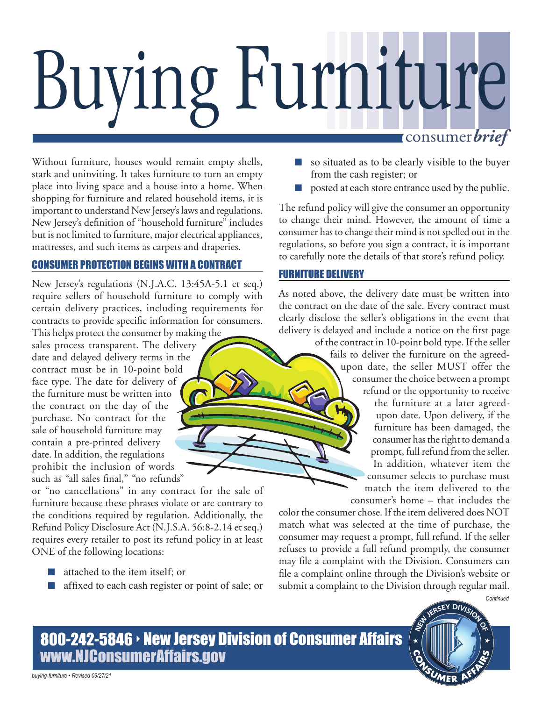# Buying Furniture consumer*brief*

Without furniture, houses would remain empty shells, stark and uninviting. It takes furniture to turn an empty place into living space and a house into a home. When shopping for furniture and related household items, it is important to understand New Jersey's laws and regulations. New Jersey's definition of "household furniture" includes but is not limited to furniture, major electrical appliances, mattresses, and such items as carpets and draperies.

### CONSUMER PROTECTION BEGINS WITH A CONTRACT

New Jersey's regulations (N.J.A.C. 13:45A-5.1 et seq.) require sellers of household furniture to comply with certain delivery practices, including requirements for contracts to provide specific information for consumers.

This helps protect the consumer by making the sales process transparent. The delivery date and delayed delivery terms in the contract must be in 10-point bold face type. The date for delivery of the furniture must be written into the contract on the day of the purchase. No contract for the sale of household furniture may contain a pre-printed delivery date. In addition, the regulations prohibit the inclusion of words such as "all sales final," "no refunds"

or "no cancellations" in any contract for the sale of furniture because these phrases violate or are contrary to the conditions required by regulation. Additionally, the Refund Policy Disclosure Act (N.J.S.A. 56:8-2.14 et seq.) requires every retailer to post its refund policy in at least ONE of the following locations:

- attached to the item itself; or
- affixed to each cash register or point of sale; or
- so situated as to be clearly visible to the buyer from the cash register; or
- posted at each store entrance used by the public.

The refund policy will give the consumer an opportunity to change their mind. However, the amount of time a consumer has to change their mind is not spelled out in the regulations, so before you sign a contract, it is important to carefully note the details of that store's refund policy.

#### FURNITURE DELIVERY

As noted above, the delivery date must be written into the contract on the date of the sale. Every contract must clearly disclose the seller's obligations in the event that delivery is delayed and include a notice on the first page

of the contract in 10-point bold type. If the seller fails to deliver the furniture on the agreedupon date, the seller MUST offer the consumer the choice between a prompt refund or the opportunity to receive

> the furniture at a later agreedupon date. Upon delivery, if the furniture has been damaged, the consumer has the right to demand a prompt, full refund from the seller. In addition, whatever item the consumer selects to purchase must match the item delivered to the consumer's home – that includes the

> > SUMER

*Continued*

color the consumer chose. If the item delivered does NOT match what was selected at the time of purchase, the consumer may request a prompt, full refund. If the seller refuses to provide a full refund promptly, the consumer may file a complaint with the Division. Consumers can file a complaint online through the Division's website or submit a complaint to the Division through regular mail.